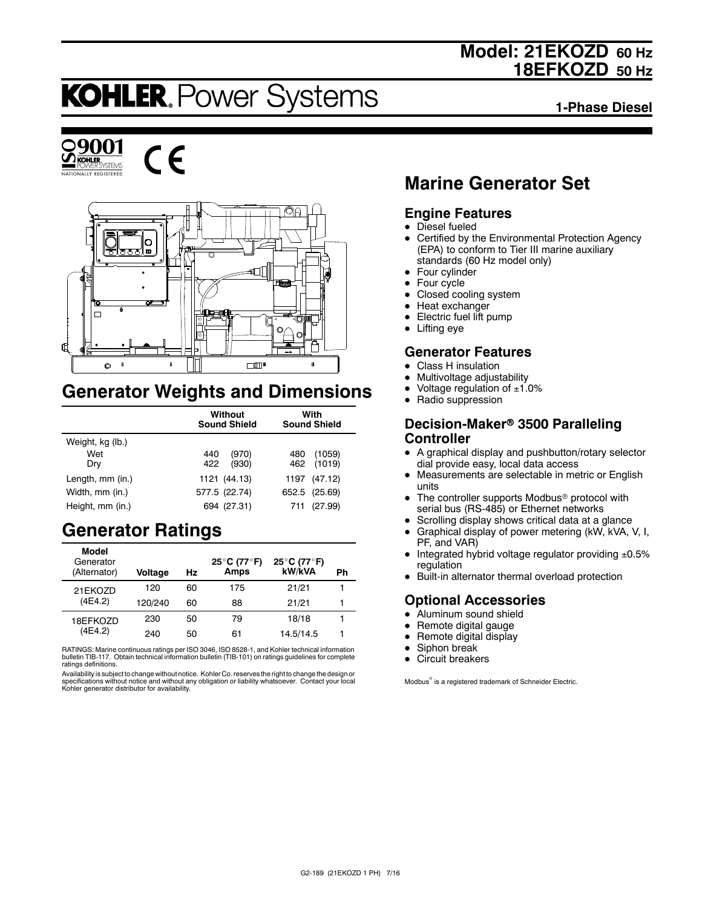## **Model: 21EKOZD 60 Hz 18EFKOZD 50 Hz**

# **KOHLER. Power Systems**

**1-Phase Diesel**







## **Generator Weights and Dimensions**

|                  | Without<br><b>Sound Shield</b> | With<br><b>Sound Shield</b> |  |
|------------------|--------------------------------|-----------------------------|--|
| Weight, kg (lb.) |                                |                             |  |
| Wet              | (970)<br>440                   | (1059)<br>480               |  |
| Dry              | 422<br>(930)                   | 462 (1019)                  |  |
| Length, mm (in.) | 1121 (44.13)                   | 1197 (47.12)                |  |
| Width, mm (in.)  | 577.5 (22.74)                  | 652.5 (25.69)               |  |
| Height, mm (in.) | 694 (27.31)                    | (27.99)<br>711              |  |

## **Generator Ratings**

| Model<br>Generator<br>(Alternator) | Voltage | Hz | 25°C (77°F)<br>Amps | 25°C (77°F)<br>kW/kVA | Ph |
|------------------------------------|---------|----|---------------------|-----------------------|----|
| 21EKOZD                            | 120     | 60 | 175                 | 21/21                 |    |
| (4E4.2)                            | 120/240 | 60 | 88                  | 21/21                 |    |
| 18EFKOZD                           | 230     | 50 | 79                  | 18/18                 |    |
| (4E4.2)                            | 240     | 50 | 61                  | 14.5/14.5             |    |

RATINGS: Marine continuous ratings per ISO 3046, ISO 8528-1, and Kohler technical information bulletin TIB-117. Obtain technical information bulletin (TIB-101) on ratings guidelines for complete ratings definitions.

Availability is subject to change without notice. Kohler Co. reserves the right to change the design or specifications without notice and without any obligation or liability whatsoever. Contact your local Kohler generator distributor for availability.

## **Marine Generator Set**

### **Engine Features**

- $\bullet$  Diesel fueled
- Certified by the Environmental Protection Agency (EPA) to conform to Tier III marine auxiliary standards (60 Hz model only)
- $\bullet$  Four cylinder
- $\bullet$  Four cycle
- Closed cooling system
- $\bullet$  Heat exchanger
- Electric fuel lift pump
- $\bullet$  Lifting eye

### **Generator Features**

- **Class H** insulation
- Multivoltage adjustability
- Voltage regulation of  $±1.0%$
- Radio suppression

#### **Decision-Maker<sup>®</sup> 3500 Paralleling Controller**

- A graphical display and pushbutton/rotary selector dial provide easy, local data access
- Measurements are selectable in metric or English units
- The controller supports Modbus<sup>®</sup> protocol with serial bus (RS-485) or Ethernet networks
- Scrolling display shows critical data at a glance
- $\bullet$  Graphical display of power metering (kW, kVA, V, I, PF, and VAR)
- $\bullet$  Integrated hybrid voltage regulator providing  $\pm 0.5\%$ regulation
- Built-in alternator thermal overload protection

## **Optional Accessories**

- $\bullet$  Aluminum sound shield
- $\bullet$  Remote digital gauge
- $\bullet$  Remote digital display
- Siphon break
- $\bullet$  Circuit breakers

Modbus<sup>®</sup> is a registered trademark of Schneider Electric.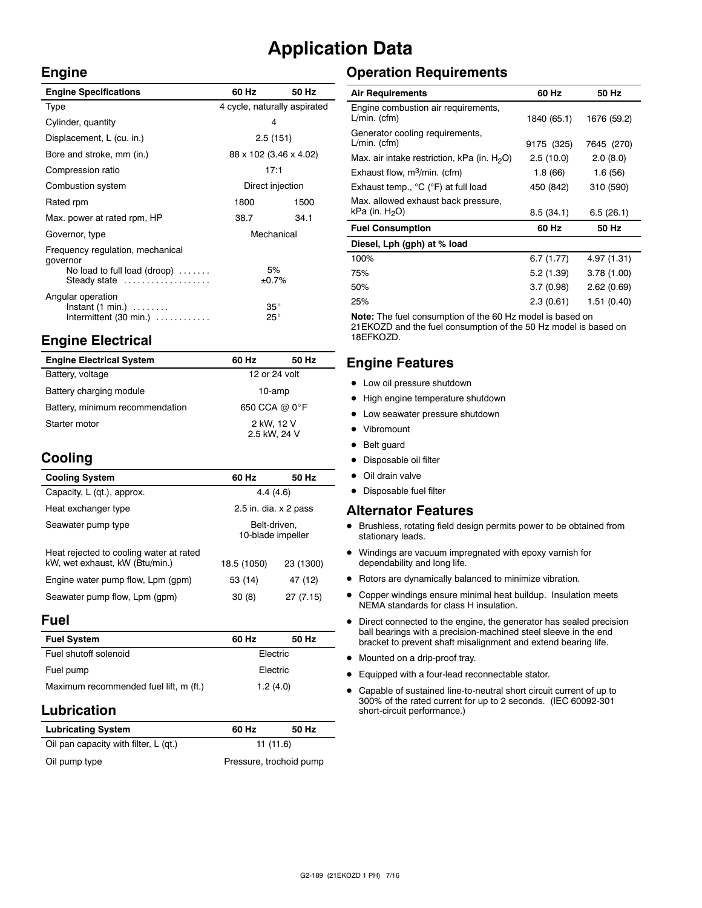## **Application Data**

 $\bar{z}$ 

#### **Engine**

| <b>Engine Specifications</b>                                                                 | 60 Hz                        | 50 Hz |  |
|----------------------------------------------------------------------------------------------|------------------------------|-------|--|
| Type                                                                                         | 4 cycle, naturally aspirated |       |  |
| Cylinder, quantity                                                                           | 4                            |       |  |
| Displacement, L (cu. in.)                                                                    | 2.5(151)                     |       |  |
| Bore and stroke, mm (in.)                                                                    | 88 x 102 (3.46 x 4.02)       |       |  |
| Compression ratio                                                                            | 17:1                         |       |  |
| Combustion system                                                                            | Direct injection             |       |  |
| Rated rpm                                                                                    | 1800                         | 1500  |  |
| Max. power at rated rpm, HP                                                                  | 38.7                         | 34.1  |  |
| Governor, type                                                                               | Mechanical                   |       |  |
| Frequency regulation, mechanical<br>governor<br>No load to full load (droop)<br>Steady state | 5%<br>±0.7%                  |       |  |
| Angular operation<br>$Instant (1 min.) \ldots \ldots$<br>Intermittent $(30 \text{ min.})$    | $35^\circ$<br>$25^{\circ}$   |       |  |

## **Engine Electrical**

| <b>Engine Electrical System</b> | 60 Hz                      | 50 Hz |
|---------------------------------|----------------------------|-------|
| Battery, voltage                | 12 or 24 volt              |       |
| Battery charging module         | 10-amp                     |       |
| Battery, minimum recommendation | 650 CCA @ 0°F              |       |
| Starter motor                   | 2 kW, 12 V<br>2.5 kW, 24 V |       |

## **Cooling**

| <b>Cooling System</b>                                                     | 60 Hz                             | 50 Hz     |
|---------------------------------------------------------------------------|-----------------------------------|-----------|
| Capacity, L (qt.), approx.                                                | 4.4(4.6)                          |           |
| Heat exchanger type                                                       | 2.5 in. dia. $\times$ 2 pass      |           |
| Seawater pump type                                                        | Belt-driven,<br>10-blade impeller |           |
| Heat rejected to cooling water at rated<br>kW, wet exhaust, kW (Btu/min.) | 18.5 (1050)                       | 23 (1300) |
| Engine water pump flow, Lpm (gpm)                                         | 53 (14)                           | 47 (12)   |
| Seawater pump flow, Lpm (gpm)                                             | 30(8)                             | 27 (7.15) |

#### **Fuel**

| <b>Fuel System</b>                     | 60 Hz    | 50 Hz |  |
|----------------------------------------|----------|-------|--|
| Fuel shutoff solenoid                  | Electric |       |  |
| Fuel pump                              | Electric |       |  |
| Maximum recommended fuel lift, m (ft.) | 1.2(4.0) |       |  |

### **Lubrication**

| <b>Lubricating System</b>             | 60 Hz                   | 50 Hz |  |
|---------------------------------------|-------------------------|-------|--|
| Oil pan capacity with filter, L (qt.) | 11(11.6)                |       |  |
| Oil pump type                         | Pressure, trochoid pump |       |  |

## **Operation Requirements**

| <b>Air Requirements</b>                                  | 60 Hz       | 50 Hz       |
|----------------------------------------------------------|-------------|-------------|
| Engine combustion air requirements,<br>$L/min.$ (cfm)    | 1840 (65.1) | 1676 (59.2) |
| Generator cooling requirements,<br>$L/min.$ (cfm)        | 9175 (325)  | 7645 (270)  |
| Max. air intake restriction, kPa (in. $H_2O$ )           | 2.5(10.0)   | 2.0(8.0)    |
| Exhaust flow, $m^3/m$ in. (cfm)                          | 1.8(66)     | 1.6(56)     |
| Exhaust temp., °C (°F) at full load                      | 450 (842)   | 310 (590)   |
| Max. allowed exhaust back pressure,<br>kPa (in. $H_2O$ ) | 8.5(34.1)   | 6.5(26.1)   |
| <b>Fuel Consumption</b>                                  | 60 Hz       | 50 Hz       |
| Diesel, Lph (gph) at % load                              |             |             |
| 100%                                                     | 6.7(1.77)   | 4.97 (1.31) |
| 75%                                                      | 5.2(1.39)   | 3.78(1.00)  |
| 50%                                                      | 3.7(0.98)   | 2.62(0.69)  |
| 25%                                                      | 2.3(0.61)   | 1.51 (0.40) |

**Note:** The fuel consumption of the 60 Hz model is based on 21EKOZD and the fuel consumption of the 50 Hz model is based on 18EFKOZD.

## **Engine Features**

- $\bullet$  Low oil pressure shutdown
- High engine temperature shutdown
- Low seawater pressure shutdown
- Vibromount
- Belt guard
- Disposable oil filter
- $\bullet$  Oil drain valve
- Disposable fuel filter

#### **Alternator Features**

- $\bullet$  Brushless, rotating field design permits power to be obtained from stationary leads.
- $\bullet$  Windings are vacuum impregnated with epoxy varnish for dependability and long life.
- $\bullet$  Rotors are dynamically balanced to minimize vibration.
- Copper windings ensure minimal heat buildup. Insulation meets NEMA standards for class H insulation.
- $\bullet$  Direct connected to the engine, the generator has sealed precision ball bearings with a precision-machined steel sleeve in the end bracket to prevent shaft misalignment and extend bearing life.
- $\bullet$  Mounted on a drip-proof tray.
- $\bullet$  Equipped with a four-lead reconnectable stator.
- Capable of sustained line-to-neutral short circuit current of up to 300% of the rated current for up to 2 seconds. (IEC 60092-301 short-circuit performance.)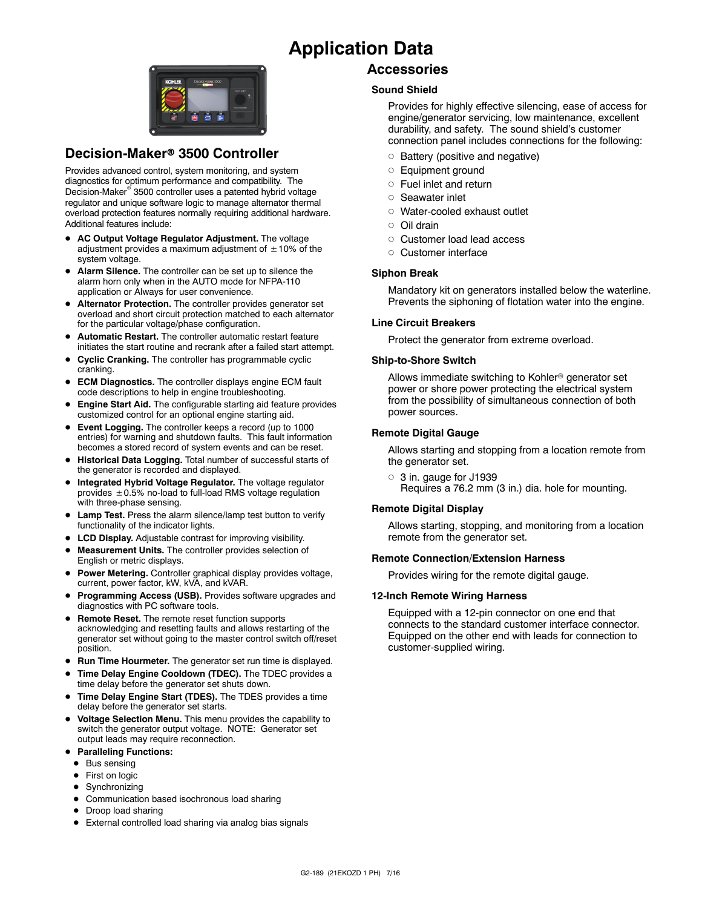## **Application Data**



### **Decision-Maker<sup>®</sup> 3500 Controller**

Provides advanced control, system monitoring, and system diagnostics for optimum performance and compatibility. The Decision-Maker<sup>®</sup> 3500 controller uses a patented hybrid voltage regulator and unique software logic to manage alternator thermal overload protection features normally requiring additional hardware. Additional features include:

- AC Output Voltage Regulator Adjustment. The voltage adjustment provides a maximum adjustment of  $\pm 10\%$  of the system voltage.
- Alarm Silence. The controller can be set up to silence the alarm horn only when in the AUTO mode for NFPA-110 application or Always for user convenience.
- $\bullet$  Alternator Protection. The controller provides generator set overload and short circuit protection matched to each alternator for the particular voltage/phase configuration.
- $\bullet$  Automatic Restart. The controller automatic restart feature initiates the start routine and recrank after a failed start attempt.
- **Cyclic Cranking.** The controller has programmable cyclic cranking.
- **ECM Diagnostics.** The controller displays engine ECM fault code descriptions to help in engine troubleshooting.
- **Engine Start Aid.** The configurable starting aid feature provides customized control for an optional engine starting aid.
- **Event Logging.** The controller keeps a record (up to 1000 entries) for warning and shutdown faults. This fault information becomes a stored record of system events and can be reset.
- **Historical Data Logging.** Total number of successful starts of the generator is recorded and displayed.
- $\bullet$  Integrated Hybrid Voltage Regulator. The voltage regulator provides  $\pm$  0.5% no-load to full-load RMS voltage regulation with three-phase sensing.
- **Lamp Test.** Press the alarm silence/lamp test button to verify functionality of the indicator lights.
- **LCD Display.** Adjustable contrast for improving visibility.
- Measurement Units. The controller provides selection of English or metric displays.
- **Power Metering.** Controller graphical display provides voltage, current, power factor, kW, kVA, and kVAR.
- **Programming Access (USB).** Provides software upgrades and diagnostics with PC software tools.
- **Remote Reset.** The remote reset function supports acknowledging and resetting faults and allows restarting of the generator set without going to the master control switch off/reset position.
- **Run Time Hourmeter.** The generator set run time is displayed.
- Time Delay Engine Cooldown (TDEC). The TDEC provides a time delay before the generator set shuts down.
- Time Delay Engine Start (TDES). The TDES provides a time delay before the generator set starts.
- **Voltage Selection Menu.** This menu provides the capability to switch the generator output voltage. NOTE: Generator set output leads may require reconnection.
- **Paralleling Functions:** 
	- $\bullet$  Bus sensing
	- First on logic
	- Synchronizing
	- Communication based isochronous load sharing
	- Droop load sharing
	- External controlled load sharing via analog bias signals

#### **Accessories**

#### **Sound Shield**

Provides for highly effective silencing, ease of access for engine/generator servicing, low maintenance, excellent durability, and safety. The sound shield's customer connection panel includes connections for the following:

- $\circ$  Battery (positive and negative)
- o Equipment ground
- $\circ$  Fuel inlet and return
- o Seawater inlet
- o Water-cooled exhaust outlet
- $\cap$  Oil drain
- o Customer load lead access
- o Customer interface

#### **Siphon Break**

Mandatory kit on generators installed below the waterline. Prevents the siphoning of flotation water into the engine.

#### **Line Circuit Breakers**

Protect the generator from extreme overload.

#### **Ship-to-Shore Switch**

Allows immediate switching to Kohler<sup>®</sup> generator set power or shore power protecting the electrical system from the possibility of simultaneous connection of both power sources.

#### **Remote Digital Gauge**

Allows starting and stopping from a location remote from the generator set.

 $\circ$  3 in. gauge for J1939 Requires a 76.2 mm (3 in.) dia. hole for mounting.

#### **Remote Digital Display**

Allows starting, stopping, and monitoring from a location remote from the generator set.

#### **Remote Connection/Extension Harness**

Provides wiring for the remote digital gauge.

#### **12-Inch Remote Wiring Harness**

Equipped with a 12-pin connector on one end that connects to the standard customer interface connector. Equipped on the other end with leads for connection to customer-supplied wiring.